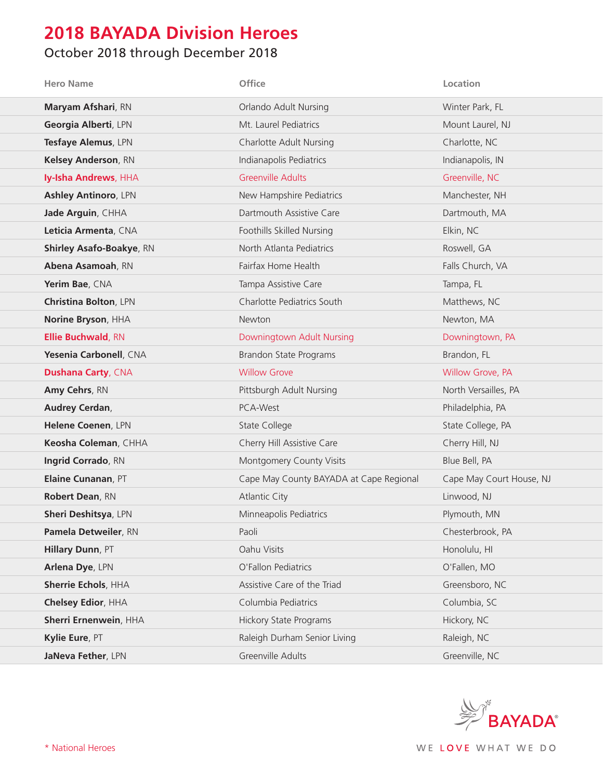## **2018 BAYADA Division Heroes**

## October 2018 through December 2018

| <b>Hero Name</b>                | Office                                  | Location                 |
|---------------------------------|-----------------------------------------|--------------------------|
| Maryam Afshari, RN              | Orlando Adult Nursing                   | Winter Park, FL          |
| Georgia Alberti, LPN            | Mt. Laurel Pediatrics                   | Mount Laurel, NJ         |
| Tesfaye Alemus, LPN             | <b>Charlotte Adult Nursing</b>          | Charlotte, NC            |
| Kelsey Anderson, RN             | Indianapolis Pediatrics                 | Indianapolis, IN         |
| Iy-Isha Andrews, HHA            | <b>Greenville Adults</b>                | Greenville, NC           |
| <b>Ashley Antinoro, LPN</b>     | New Hampshire Pediatrics                | Manchester, NH           |
| Jade Arguin, CHHA               | Dartmouth Assistive Care                | Dartmouth, MA            |
| Leticia Armenta, CNA            | Foothills Skilled Nursing               | Elkin, NC                |
| <b>Shirley Asafo-Boakye, RN</b> | North Atlanta Pediatrics                | Roswell, GA              |
| Abena Asamoah, RN               | Fairfax Home Health                     | Falls Church, VA         |
| Yerim Bae, CNA                  | Tampa Assistive Care                    | Tampa, FL                |
| Christina Bolton, LPN           | Charlotte Pediatrics South              | Matthews, NC             |
| Norine Bryson, HHA              | Newton                                  | Newton, MA               |
| <b>Ellie Buchwald, RN</b>       | Downingtown Adult Nursing               | Downingtown, PA          |
| Yesenia Carbonell, CNA          | <b>Brandon State Programs</b>           | Brandon, FL              |
| <b>Dushana Carty, CNA</b>       | <b>Willow Grove</b>                     | Willow Grove, PA         |
| Amy Cehrs, RN                   | Pittsburgh Adult Nursing                | North Versailles, PA     |
| Audrey Cerdan,                  | PCA-West                                | Philadelphia, PA         |
| Helene Coenen, LPN              | State College                           | State College, PA        |
| Keosha Coleman, CHHA            | Cherry Hill Assistive Care              | Cherry Hill, NJ          |
| Ingrid Corrado, RN              | Montgomery County Visits                | Blue Bell, PA            |
| Elaine Cunanan, PT              | Cape May County BAYADA at Cape Regional | Cape May Court House, NJ |
| Robert Dean, RN                 | <b>Atlantic City</b>                    | Linwood, NJ              |
| <b>Sheri Deshitsya, LPN</b>     | Minneapolis Pediatrics                  | Plymouth, MN             |
| Pamela Detweiler, RN            | Paoli                                   | Chesterbrook, PA         |
| Hillary Dunn, PT                | Oahu Visits                             | Honolulu, HI             |
| Arlena Dye, LPN                 | O'Fallon Pediatrics                     | O'Fallen, MO             |
| Sherrie Echols, HHA             | Assistive Care of the Triad             | Greensboro, NC           |
| Chelsey Edior, HHA              | Columbia Pediatrics                     | Columbia, SC             |
| Sherri Ernenwein, HHA           | <b>Hickory State Programs</b>           | Hickory, NC              |
| Kylie Eure, PT                  | Raleigh Durham Senior Living            | Raleigh, NC              |
| JaNeva Fether, LPN              | Greenville Adults                       | Greenville, NC           |

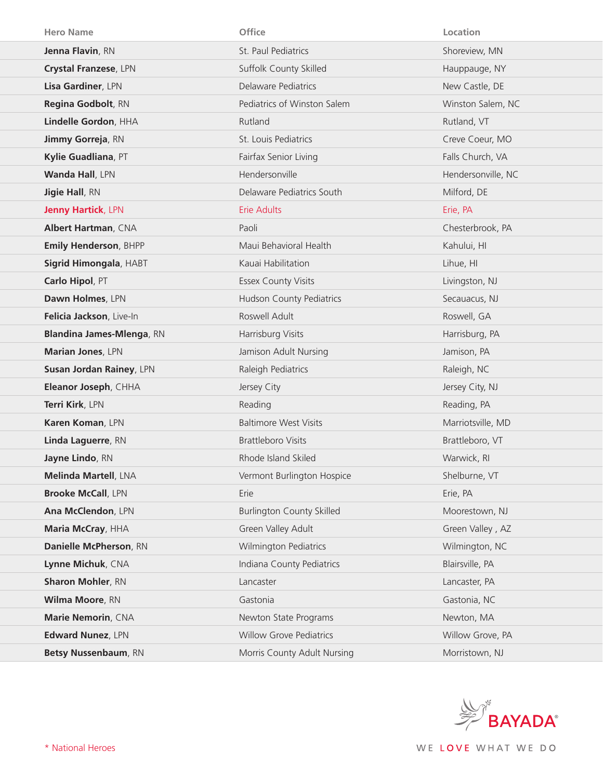| <b>Hero Name</b>                 | Office                           | Location           |
|----------------------------------|----------------------------------|--------------------|
| Jenna Flavin, RN                 | St. Paul Pediatrics              | Shoreview, MN      |
| Crystal Franzese, LPN            | Suffolk County Skilled           | Hauppauge, NY      |
| Lisa Gardiner, LPN               | Delaware Pediatrics              | New Castle, DE     |
| Regina Godbolt, RN               | Pediatrics of Winston Salem      | Winston Salem, NC  |
| Lindelle Gordon, HHA             | Rutland                          | Rutland, VT        |
| Jimmy Gorreja, RN                | St. Louis Pediatrics             | Creve Coeur, MO    |
| Kylie Guadliana, PT              | Fairfax Senior Living            | Falls Church, VA   |
| Wanda Hall, LPN                  | Hendersonville                   | Hendersonville, NC |
| <b>Jigie Hall, RN</b>            | Delaware Pediatrics South        | Milford, DE        |
| <b>Jenny Hartick, LPN</b>        | <b>Erie Adults</b>               | Erie, PA           |
| <b>Albert Hartman, CNA</b>       | Paoli                            | Chesterbrook, PA   |
| <b>Emily Henderson, BHPP</b>     | Maui Behavioral Health           | Kahului, HI        |
| Sigrid Himongala, HABT           | Kauai Habilitation               | Lihue, HI          |
| Carlo Hipol, PT                  | <b>Essex County Visits</b>       | Livingston, NJ     |
| Dawn Holmes, LPN                 | <b>Hudson County Pediatrics</b>  | Secauacus, NJ      |
| Felicia Jackson, Live-In         | Roswell Adult                    | Roswell, GA        |
| <b>Blandina James-Mlenga, RN</b> | Harrisburg Visits                | Harrisburg, PA     |
|                                  |                                  |                    |
| Marian Jones, LPN                | Jamison Adult Nursing            | Jamison, PA        |
| Susan Jordan Rainey, LPN         | Raleigh Pediatrics               | Raleigh, NC        |
| Eleanor Joseph, CHHA             | Jersey City                      | Jersey City, NJ    |
| Terri Kirk, LPN                  | Reading                          | Reading, PA        |
| Karen Koman, LPN                 | <b>Baltimore West Visits</b>     | Marriotsville, MD  |
| Linda Laguerre, RN               | <b>Brattleboro Visits</b>        | Brattleboro, VT    |
| Jayne Lindo, RN                  | Rhode Island Skiled              | Warwick, RI        |
| Melinda Martell, LNA             | Vermont Burlington Hospice       | Shelburne, VT      |
| <b>Brooke McCall, LPN</b>        | Erie                             | Erie, PA           |
| Ana McClendon, LPN               | <b>Burlington County Skilled</b> | Moorestown, NJ     |
| Maria McCray, HHA                | Green Valley Adult               | Green Valley, AZ   |
| Danielle McPherson, RN           | <b>Wilmington Pediatrics</b>     | Wilmington, NC     |
| Lynne Michuk, CNA                | Indiana County Pediatrics        | Blairsville, PA    |
| <b>Sharon Mohler, RN</b>         | Lancaster                        | Lancaster, PA      |
| Wilma Moore, RN                  | Gastonia                         | Gastonia, NC       |
| Marie Nemorin, CNA               | Newton State Programs            | Newton, MA         |
| Edward Nunez, LPN                | <b>Willow Grove Pediatrics</b>   | Willow Grove, PA   |